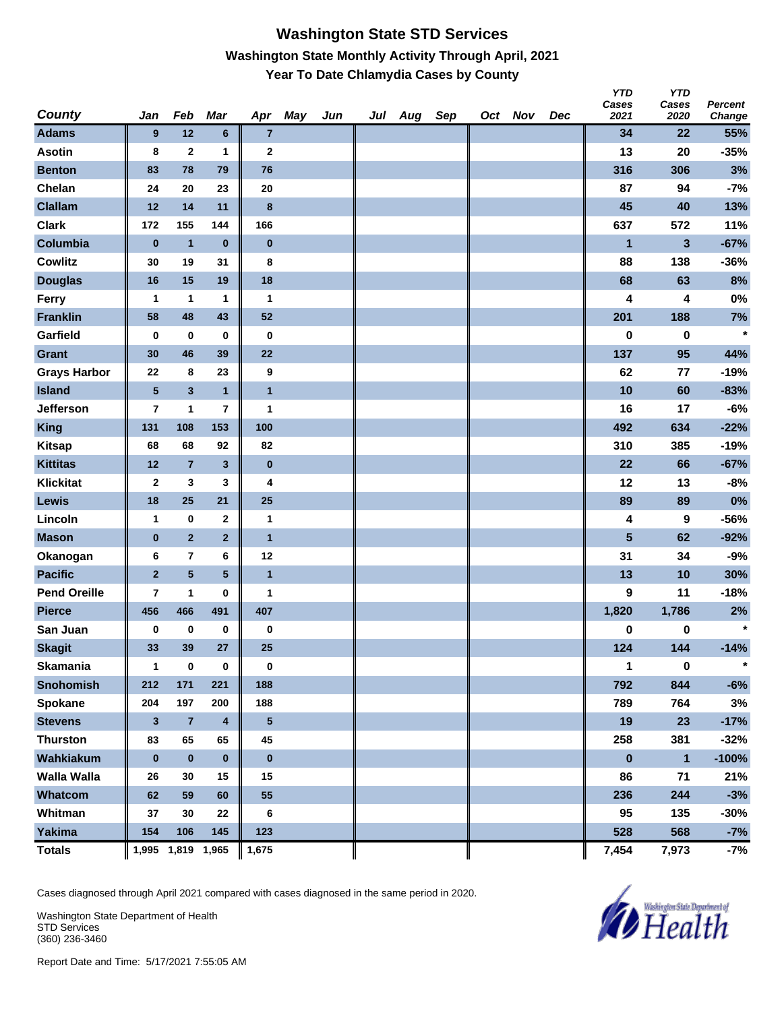#### **Washington State STD Services Washington State Monthly Activity Through April, 2021 Year To Date Chlamydia Cases by County**

| <b>County</b>       | Jan                     | Feb                     | Mar                     | Apr              | May | Jun | Jul | Aug | Sep | Oct Nov | Dec | <b>YTD</b><br>Cases<br>2021 | <b>YTD</b><br>Cases<br>2020 | Percent<br>Change |
|---------------------|-------------------------|-------------------------|-------------------------|------------------|-----|-----|-----|-----|-----|---------|-----|-----------------------------|-----------------------------|-------------------|
| <b>Adams</b>        | 9                       | 12                      | $\bf 6$                 | $\overline{7}$   |     |     |     |     |     |         |     | 34                          | 22                          | 55%               |
| <b>Asotin</b>       | 8                       | $\mathbf{2}$            | 1                       | $\mathbf{2}$     |     |     |     |     |     |         |     | 13                          | 20                          | $-35%$            |
| <b>Benton</b>       | 83                      | 78                      | 79                      | 76               |     |     |     |     |     |         |     | 316                         | 306                         | 3%                |
| Chelan              | 24                      | 20                      | 23                      | 20               |     |     |     |     |     |         |     | 87                          | 94                          | $-7%$             |
| <b>Clallam</b>      | 12                      | 14                      | 11                      | $\boldsymbol{8}$ |     |     |     |     |     |         |     | 45                          | 40                          | 13%               |
| <b>Clark</b>        | 172                     | 155                     | 144                     | 166              |     |     |     |     |     |         |     | 637                         | 572                         | 11%               |
| Columbia            | $\pmb{0}$               | $\mathbf{1}$            | $\bf{0}$                | $\bf{0}$         |     |     |     |     |     |         |     | 1                           | 3                           | $-67%$            |
| <b>Cowlitz</b>      | 30                      | 19                      | 31                      | 8                |     |     |     |     |     |         |     | 88                          | 138                         | $-36%$            |
| <b>Douglas</b>      | 16                      | 15                      | 19                      | 18               |     |     |     |     |     |         |     | 68                          | 63                          | 8%                |
| Ferry               | 1                       | 1                       | 1                       | $\mathbf{1}$     |     |     |     |     |     |         |     | 4                           | 4                           | $0\%$             |
| <b>Franklin</b>     | 58                      | 48                      | 43                      | 52               |     |     |     |     |     |         |     | 201                         | 188                         | 7%                |
| Garfield            | 0                       | $\bf{0}$                | $\bf{0}$                | $\bf{0}$         |     |     |     |     |     |         |     | 0                           | 0                           | $\star$           |
| Grant               | 30                      | 46                      | 39                      | 22               |     |     |     |     |     |         |     | 137                         | 95                          | 44%               |
| <b>Grays Harbor</b> | 22                      | 8                       | 23                      | 9                |     |     |     |     |     |         |     | 62                          | 77                          | $-19%$            |
| <b>Island</b>       | $\overline{\mathbf{5}}$ | $\overline{\mathbf{3}}$ | $\mathbf{1}$            | $\overline{1}$   |     |     |     |     |     |         |     | 10                          | 60                          | $-83%$            |
| <b>Jefferson</b>    | 7                       | 1                       | 7                       | 1                |     |     |     |     |     |         |     | 16                          | 17                          | $-6%$             |
| <b>King</b>         | 131                     | 108                     | 153                     | 100              |     |     |     |     |     |         |     | 492                         | 634                         | $-22%$            |
| <b>Kitsap</b>       | 68                      | 68                      | 92                      | 82               |     |     |     |     |     |         |     | 310                         | 385                         | $-19%$            |
| <b>Kittitas</b>     | 12                      | $\overline{7}$          | $\mathbf{3}$            | $\bf{0}$         |     |     |     |     |     |         |     | 22                          | 66                          | $-67%$            |
| Klickitat           | 2                       | 3                       | 3                       | 4                |     |     |     |     |     |         |     | 12                          | 13                          | $-8%$             |
| Lewis               | 18                      | 25                      | 21                      | 25               |     |     |     |     |     |         |     | 89                          | 89                          | 0%                |
| Lincoln             | $\mathbf{1}$            | $\bf{0}$                | 2                       | $\mathbf{1}$     |     |     |     |     |     |         |     | 4                           | 9                           | $-56%$            |
| <b>Mason</b>        | $\pmb{0}$               | $\overline{2}$          | $\overline{2}$          | $\overline{1}$   |     |     |     |     |     |         |     | 5                           | 62                          | $-92%$            |
| Okanogan            | 6                       | $\bf 7$                 | 6                       | 12               |     |     |     |     |     |         |     | 31                          | 34                          | $-9%$             |
| <b>Pacific</b>      | $\overline{2}$          | $\overline{\mathbf{5}}$ | $5\phantom{.0}$         | $\overline{1}$   |     |     |     |     |     |         |     | 13                          | 10                          | 30%               |
| <b>Pend Oreille</b> | 7                       | 1                       | 0                       | 1                |     |     |     |     |     |         |     | 9                           | 11                          | $-18%$            |
| <b>Pierce</b>       | 456                     | 466                     | 491                     | 407              |     |     |     |     |     |         |     | 1,820                       | 1,786                       | 2%                |
| San Juan            | 0                       | $\bf{0}$                | 0                       | $\bf{0}$         |     |     |     |     |     |         |     | 0                           | 0                           | $\star$           |
| <b>Skagit</b>       | 33                      | 39                      | 27                      | 25               |     |     |     |     |     |         |     | 124                         | 144                         | $-14%$            |
| <b>Skamania</b>     | 1                       | $\bf{0}$                | 0                       | 0                |     |     |     |     |     |         |     | 1                           | $\bf{0}$                    | $\star$           |
| <b>Snohomish</b>    | 212                     | 171                     | 221                     | 188              |     |     |     |     |     |         |     | 792                         | 844                         | $-6%$             |
| Spokane             | 204                     | 197                     | 200                     | 188              |     |     |     |     |     |         |     | 789                         | 764                         | 3%                |
| <b>Stevens</b>      | $\mathbf{3}$            | $\bf 7$                 | $\overline{\mathbf{4}}$ | $5\phantom{.0}$  |     |     |     |     |     |         |     | 19                          | 23                          | $-17%$            |
| <b>Thurston</b>     | 83                      | 65                      | 65                      | 45               |     |     |     |     |     |         |     | 258                         | 381                         | $-32%$            |
| Wahkiakum           | $\bf{0}$                | $\pmb{0}$               | $\pmb{0}$               | $\bf{0}$         |     |     |     |     |     |         |     | $\bf{0}$                    | $\mathbf{1}$                | $-100%$           |
| <b>Walla Walla</b>  | 26                      | 30                      | 15                      | 15               |     |     |     |     |     |         |     | 86                          | 71                          | 21%               |
| Whatcom             | 62                      | 59                      | 60                      | 55               |     |     |     |     |     |         |     | 236                         | 244                         | $-3%$             |
| Whitman             | 37                      | 30                      | 22                      | 6                |     |     |     |     |     |         |     | 95                          | 135                         | $-30%$            |
| Yakima              | 154                     | 106                     | 145                     | 123              |     |     |     |     |     |         |     | 528                         | 568                         | $-7%$             |
| <b>Totals</b>       |                         | 1,995 1,819 1,965       |                         | 1,675            |     |     |     |     |     |         |     | 7,454                       | 7,973                       | $-7%$             |

Cases diagnosed through April 2021 compared with cases diagnosed in the same period in 2020.

Washington State Department of Health STD Services (360) 236-3460

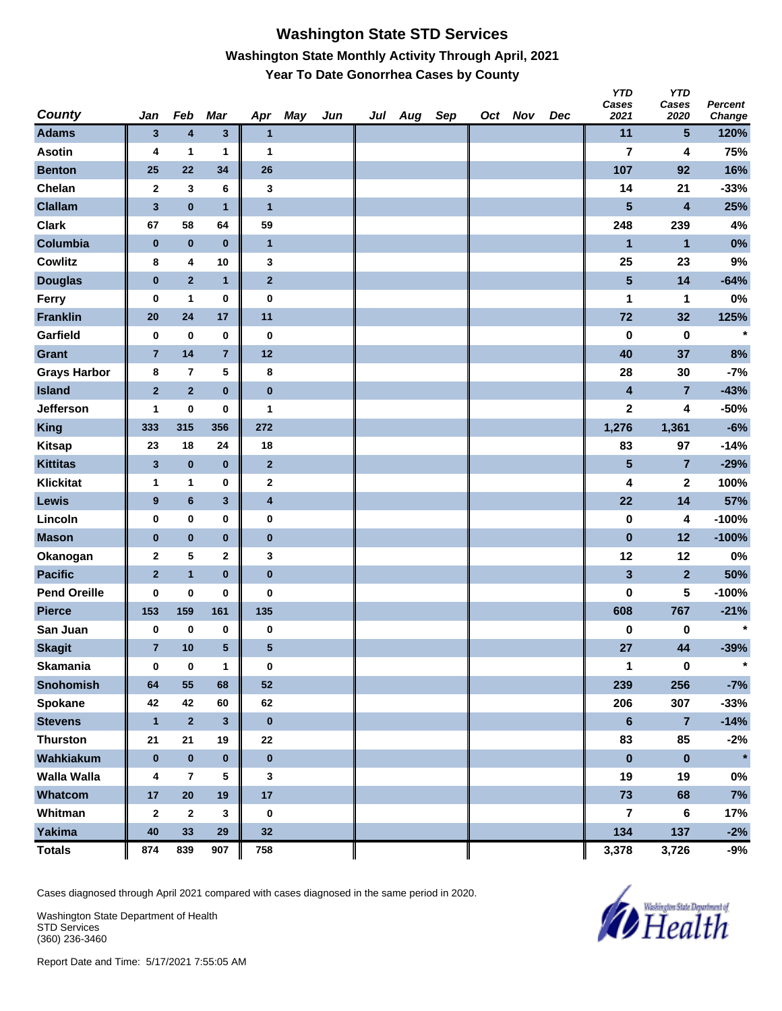### **Washington State STD Services Washington State Monthly Activity Through April, 2021 Year To Date Gonorrhea Cases by County**

| <b>County</b>       | Jan                     | Feb              | Mar                     | Apr                     | May | Jun | Jul Aug | Sep | Oct Nov | Dec | <b>YTD</b><br>Cases<br>2021 | <b>YTD</b><br>Cases<br>2020 | Percent<br>Change |
|---------------------|-------------------------|------------------|-------------------------|-------------------------|-----|-----|---------|-----|---------|-----|-----------------------------|-----------------------------|-------------------|
| <b>Adams</b>        | $\mathbf{3}$            | $\boldsymbol{4}$ | $\overline{\mathbf{3}}$ | $\mathbf{1}$            |     |     |         |     |         |     | 11                          | $5\phantom{.0}$             | 120%              |
| <b>Asotin</b>       | 4                       | 1                | 1                       | 1                       |     |     |         |     |         |     | $\overline{\mathbf{r}}$     | 4                           | 75%               |
| <b>Benton</b>       | 25                      | 22               | 34                      | 26                      |     |     |         |     |         |     | 107                         | 92                          | 16%               |
| Chelan              | $\mathbf{2}$            | 3                | 6                       | 3                       |     |     |         |     |         |     | 14                          | 21                          | $-33%$            |
| <b>Clallam</b>      | $\overline{\mathbf{3}}$ | $\bf{0}$         | $\mathbf{1}$            | $\mathbf{1}$            |     |     |         |     |         |     | 5                           | $\overline{\mathbf{4}}$     | 25%               |
| <b>Clark</b>        | 67                      | 58               | 64                      | 59                      |     |     |         |     |         |     | 248                         | 239                         | 4%                |
| Columbia            | $\pmb{0}$               | $\bf{0}$         | $\bf{0}$                | $\mathbf{1}$            |     |     |         |     |         |     | 1                           | $\mathbf{1}$                | 0%                |
| <b>Cowlitz</b>      | 8                       | 4                | 10                      | 3                       |     |     |         |     |         |     | 25                          | 23                          | 9%                |
| <b>Douglas</b>      | $\bf{0}$                | $\overline{2}$   | $\mathbf{1}$            | $\mathbf{2}$            |     |     |         |     |         |     | $5\phantom{.0}$             | 14                          | $-64%$            |
| Ferry               | 0                       | $\mathbf{1}$     | 0                       | $\bf{0}$                |     |     |         |     |         |     | 1                           | 1                           | $0\%$             |
| <b>Franklin</b>     | 20                      | 24               | 17                      | 11                      |     |     |         |     |         |     | 72                          | 32                          | 125%              |
| Garfield            | 0                       | $\bf{0}$         | 0                       | $\bf{0}$                |     |     |         |     |         |     | $\bf{0}$                    | $\pmb{0}$                   | $\star$           |
| Grant               | $\overline{7}$          | 14               | $\overline{7}$          | $12$                    |     |     |         |     |         |     | 40                          | 37                          | 8%                |
| <b>Grays Harbor</b> | 8                       | $\overline{7}$   | 5                       | 8                       |     |     |         |     |         |     | 28                          | 30                          | $-7%$             |
| <b>Island</b>       | $\mathbf 2$             | $\mathbf 2$      | $\bf{0}$                | $\bf{0}$                |     |     |         |     |         |     | $\overline{\mathbf{4}}$     | $\overline{7}$              | $-43%$            |
| <b>Jefferson</b>    | 1                       | $\pmb{0}$        | 0                       | 1                       |     |     |         |     |         |     | 2                           | 4                           | $-50%$            |
| <b>King</b>         | 333                     | 315              | 356                     | 272                     |     |     |         |     |         |     | 1,276                       | 1,361                       | $-6%$             |
| <b>Kitsap</b>       | 23                      | 18               | 24                      | 18                      |     |     |         |     |         |     | 83                          | 97                          | $-14%$            |
| <b>Kittitas</b>     | $\mathbf{3}$            | $\pmb{0}$        | $\bf{0}$                | $\mathbf{2}$            |     |     |         |     |         |     | $\overline{\mathbf{5}}$     | $\overline{7}$              | $-29%$            |
| Klickitat           | 1                       | 1                | 0                       | $\mathbf{2}$            |     |     |         |     |         |     | 4                           | $\boldsymbol{2}$            | 100%              |
| Lewis               | $\boldsymbol{9}$        | $\bf 6$          | 3                       | $\overline{\mathbf{4}}$ |     |     |         |     |         |     | 22                          | 14                          | 57%               |
| Lincoln             | 0                       | $\mathbf 0$      | 0                       | $\bf{0}$                |     |     |         |     |         |     | $\pmb{0}$                   | 4                           | $-100%$           |
| <b>Mason</b>        | $\bf{0}$                | $\bf{0}$         | $\pmb{0}$               | $\bf{0}$                |     |     |         |     |         |     | $\pmb{0}$                   | 12                          | $-100%$           |
| Okanogan            | $\mathbf{2}$            | 5                | 2                       | 3                       |     |     |         |     |         |     | 12                          | 12                          | 0%                |
| <b>Pacific</b>      | $\overline{2}$          | $\overline{1}$   | $\bf{0}$                | $\bf{0}$                |     |     |         |     |         |     | $\overline{\mathbf{3}}$     | $\overline{2}$              | 50%               |
| <b>Pend Oreille</b> | 0                       | $\bf{0}$         | 0                       | $\bf{0}$                |     |     |         |     |         |     | $\bf{0}$                    | 5                           | $-100%$           |
| <b>Pierce</b>       | 153                     | 159              | 161                     | 135                     |     |     |         |     |         |     | 608                         | 767                         | $-21%$            |
| San Juan            | 0                       | $\bf{0}$         | 0                       | $\pmb{0}$               |     |     |         |     |         |     | $\pmb{0}$                   | $\pmb{0}$                   | $\star$           |
| <b>Skagit</b>       | $\overline{7}$          | 10               | 5                       | 5                       |     |     |         |     |         |     | 27                          | 44                          | $-39%$            |
| <b>Skamania</b>     | 0                       | $\bf{0}$         | $\mathbf{1}$            | 0                       |     |     |         |     |         |     | 1                           | $\bf{0}$                    | $\star$           |
| <b>Snohomish</b>    | 64                      | 55               | 68                      | 52                      |     |     |         |     |         |     | 239                         | 256                         | $-7%$             |
| Spokane             | 42                      | 42               | 60                      | 62                      |     |     |         |     |         |     | 206                         | 307                         | $-33%$            |
| <b>Stevens</b>      | $\mathbf{1}$            | $\overline{2}$   | 3                       | $\pmb{0}$               |     |     |         |     |         |     | $6\phantom{a}$              | $\overline{7}$              | $-14%$            |
| <b>Thurston</b>     | 21                      | 21               | 19                      | 22                      |     |     |         |     |         |     | 83                          | 85                          | $-2%$             |
| Wahkiakum           | $\bf{0}$                | $\pmb{0}$        | $\pmb{0}$               | $\pmb{0}$               |     |     |         |     |         |     | $\pmb{0}$                   | $\pmb{0}$                   | $\star$           |
| <b>Walla Walla</b>  | 4                       | $\overline{7}$   | 5                       | $\mathbf{3}$            |     |     |         |     |         |     | 19                          | 19                          | $0\%$             |
| Whatcom             | 17                      | 20               | 19                      | 17                      |     |     |         |     |         |     | 73                          | 68                          | 7%                |
| Whitman             | $\mathbf{2}$            | $\mathbf{2}$     | 3                       | 0                       |     |     |         |     |         |     | $\overline{\mathbf{r}}$     | 6                           | 17%               |
| <b>Yakima</b>       | 40                      | 33               | 29                      | 32                      |     |     |         |     |         |     | 134                         | 137                         | $-2%$             |
| <b>Totals</b>       | 874                     | 839              | 907                     | 758                     |     |     |         |     |         |     | 3,378                       | 3,726                       | -9%               |

Cases diagnosed through April 2021 compared with cases diagnosed in the same period in 2020.

Washington State Department of Health STD Services (360) 236-3460

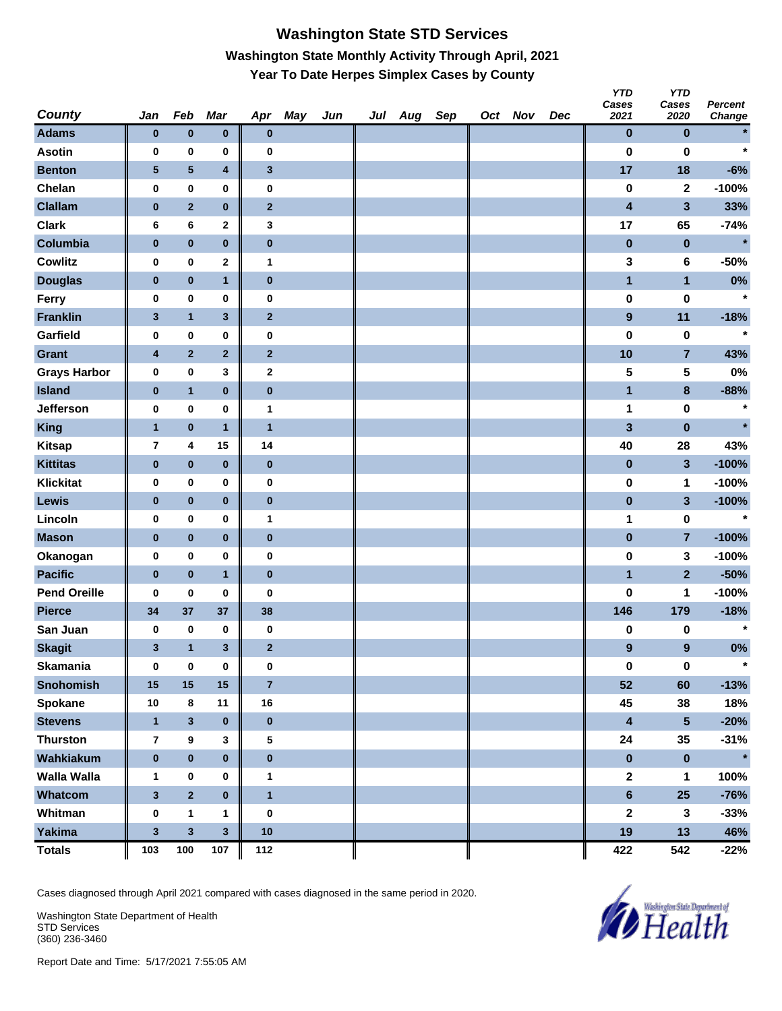# **Washington State STD Services Washington State Monthly Activity Through April, 2021 Year To Date Herpes Simplex Cases by County**

| <b>County</b>       | Jan                     | Feb                     | Mar            | Apr                     | <b>May</b> | Jun | Jul | Aug | Sep | Oct Nov | Dec | טוץ<br>Cases<br>2021    | טוץ<br>Cases<br>2020 | <b>Percent</b><br>Change |
|---------------------|-------------------------|-------------------------|----------------|-------------------------|------------|-----|-----|-----|-----|---------|-----|-------------------------|----------------------|--------------------------|
| <b>Adams</b>        | $\pmb{0}$               | $\bf{0}$                | $\pmb{0}$      | $\bf{0}$                |            |     |     |     |     |         |     | $\bf{0}$                | $\bf{0}$             |                          |
| <b>Asotin</b>       | 0                       | 0                       | 0              | 0                       |            |     |     |     |     |         |     | $\bf{0}$                | $\bf{0}$             | $\star$                  |
| <b>Benton</b>       | ${\bf 5}$               | 5                       | 4              | $\mathbf 3$             |            |     |     |     |     |         |     | 17                      | 18                   | $-6%$                    |
| Chelan              | 0                       | $\pmb{0}$               | 0              | $\bf{0}$                |            |     |     |     |     |         |     | $\bf{0}$                | $\mathbf 2$          | $-100%$                  |
| <b>Clallam</b>      | $\bf{0}$                | $\overline{2}$          | $\bf{0}$       | $\mathbf{2}$            |            |     |     |     |     |         |     | 4                       | $\mathbf{3}$         | 33%                      |
| <b>Clark</b>        | 6                       | 6                       | 2              | 3                       |            |     |     |     |     |         |     | 17                      | 65                   | $-74%$                   |
| Columbia            | $\pmb{0}$               | $\bf{0}$                | $\bf{0}$       | $\bf{0}$                |            |     |     |     |     |         |     | $\pmb{0}$               | $\pmb{0}$            | $\star$                  |
| <b>Cowlitz</b>      | 0                       | $\pmb{0}$               | 2              | $\mathbf{1}$            |            |     |     |     |     |         |     | 3                       | 6                    | $-50%$                   |
| <b>Douglas</b>      | $\pmb{0}$               | $\bf{0}$                | $\mathbf{1}$   | $\bf{0}$                |            |     |     |     |     |         |     | $\blacksquare$          | $\mathbf{1}$         | 0%                       |
| Ferry               | 0                       | $\mathbf 0$             | $\bf{0}$       | $\pmb{0}$               |            |     |     |     |     |         |     | $\pmb{0}$               | $\pmb{0}$            | $\star$                  |
| <b>Franklin</b>     | $\mathbf{3}$            | $\mathbf{1}$            | 3              | $\mathbf 2$             |            |     |     |     |     |         |     | $\boldsymbol{9}$        | 11                   | $-18%$                   |
| Garfield            | 0                       | 0                       | 0              | $\bf{0}$                |            |     |     |     |     |         |     | $\bf{0}$                | $\bf{0}$             | $\ast$                   |
| <b>Grant</b>        | $\overline{\mathbf{4}}$ | $\overline{2}$          | $\mathbf{2}$   | $\bf{2}$                |            |     |     |     |     |         |     | 10                      | $\overline{7}$       | 43%                      |
| <b>Grays Harbor</b> | 0                       | $\pmb{0}$               | 3              | $\mathbf 2$             |            |     |     |     |     |         |     | 5                       | 5                    | 0%                       |
| <b>Island</b>       | $\bf{0}$                | $\mathbf{1}$            | $\bf{0}$       | $\bf{0}$                |            |     |     |     |     |         |     | 1                       | $\bf8$               | $-88%$                   |
| Jefferson           | 0                       | $\mathbf 0$             | 0              | 1                       |            |     |     |     |     |         |     | 1                       | $\pmb{0}$            | $\ast$                   |
| King                | $\mathbf{1}$            | $\bf{0}$                | $\mathbf{1}$   | $\mathbf{1}$            |            |     |     |     |     |         |     | $\overline{\mathbf{3}}$ | $\pmb{0}$            | $\star$                  |
| <b>Kitsap</b>       | $\overline{7}$          | 4                       | 15             | 14                      |            |     |     |     |     |         |     | 40                      | 28                   | 43%                      |
| <b>Kittitas</b>     | $\pmb{0}$               | $\bf{0}$                | $\pmb{0}$      | $\bf{0}$                |            |     |     |     |     |         |     | $\pmb{0}$               | $\mathbf{3}$         | $-100%$                  |
| <b>Klickitat</b>    | 0                       | $\mathbf 0$             | $\bf{0}$       | $\bf{0}$                |            |     |     |     |     |         |     | $\pmb{0}$               | 1                    | $-100%$                  |
| Lewis               | $\bf{0}$                | $\pmb{0}$               | $\pmb{0}$      | $\bf{0}$                |            |     |     |     |     |         |     | $\pmb{0}$               | $\mathbf{3}$         | $-100%$                  |
| Lincoln             | 0                       | 0                       | 0              | 1                       |            |     |     |     |     |         |     | 1                       | $\pmb{0}$            | $\ast$                   |
| <b>Mason</b>        | $\pmb{0}$               | $\pmb{0}$               | $\bf{0}$       | $\bf{0}$                |            |     |     |     |     |         |     | $\bf{0}$                | $\overline{7}$       | $-100%$                  |
| Okanogan            | 0                       | $\pmb{0}$               | 0              | $\bf{0}$                |            |     |     |     |     |         |     | $\bf{0}$                | 3                    | $-100%$                  |
| <b>Pacific</b>      | $\bf{0}$                | $\pmb{0}$               | $\mathbf{1}$   | $\bf{0}$                |            |     |     |     |     |         |     | 1                       | $\mathbf{2}$         | $-50%$                   |
| <b>Pend Oreille</b> | 0                       | $\mathbf 0$             | 0              | $\bf{0}$                |            |     |     |     |     |         |     | $\bf{0}$                | 1                    | $-100%$                  |
| <b>Pierce</b>       | 34                      | 37                      | 37             | 38                      |            |     |     |     |     |         |     | 146                     | 179                  | $-18%$                   |
| San Juan            | 0                       | $\bf{0}$                | 0              | $\bf{0}$                |            |     |     |     |     |         |     | $\pmb{0}$               | 0                    | $\star$                  |
| <b>Skagit</b>       | 3                       | $\mathbf{1}$            | 3              | $\mathbf{2}$            |            |     |     |     |     |         |     | $\boldsymbol{9}$        | $\boldsymbol{9}$     | 0%                       |
| Skamania            | 0                       | $\bf{0}$                | 0              | 0                       |            |     |     |     |     |         |     | $\pmb{0}$               | $\pmb{0}$            |                          |
| <b>Snohomish</b>    | 15                      | 15                      | 15             | $\overline{7}$          |            |     |     |     |     |         |     | 52                      | 60                   | $-13%$                   |
| Spokane             | 10                      | 8                       | 11             | 16                      |            |     |     |     |     |         |     | 45                      | 38                   | 18%                      |
| <b>Stevens</b>      | $\mathbf{1}$            | $\overline{\mathbf{3}}$ | $\bf{0}$       | $\pmb{0}$               |            |     |     |     |     |         |     | $\overline{\mathbf{4}}$ | $5\phantom{.0}$      | $-20%$                   |
| <b>Thurston</b>     | $\overline{\mathbf{r}}$ | $\pmb{9}$               | 3              | 5                       |            |     |     |     |     |         |     | 24                      | 35                   | $-31%$                   |
| Wahkiakum           | $\pmb{0}$               | $\pmb{0}$               | $\pmb{0}$      | $\pmb{0}$               |            |     |     |     |     |         |     | $\pmb{0}$               | $\pmb{0}$            | $\star$                  |
| <b>Walla Walla</b>  | 1                       | $\pmb{0}$               | 0              | $\mathbf{1}$            |            |     |     |     |     |         |     | $\boldsymbol{2}$        | 1                    | 100%                     |
| Whatcom             | $\mathbf{3}$            | $\mathbf 2$             | $\pmb{0}$      | $\overline{\mathbf{1}}$ |            |     |     |     |     |         |     | $\bf 6$                 | 25                   | $-76%$                   |
| Whitman             | 0                       | $\mathbf{1}$            | 1              | $\pmb{0}$               |            |     |     |     |     |         |     | $\mathbf{2}$            | $\mathbf{3}$         | $-33%$                   |
| Yakima              | $\mathbf{3}$            | $\mathbf{3}$            | 3 <sup>2</sup> | 10                      |            |     |     |     |     |         |     | 19                      | 13                   | 46%                      |
| <b>Totals</b>       | 103                     | 100                     | 107            | 112                     |            |     |     |     |     |         |     | 422                     | 542                  | $-22%$                   |

Cases diagnosed through April 2021 compared with cases diagnosed in the same period in 2020.

Washington State Department of Health STD Services (360) 236-3460



*Y* 

*YTD*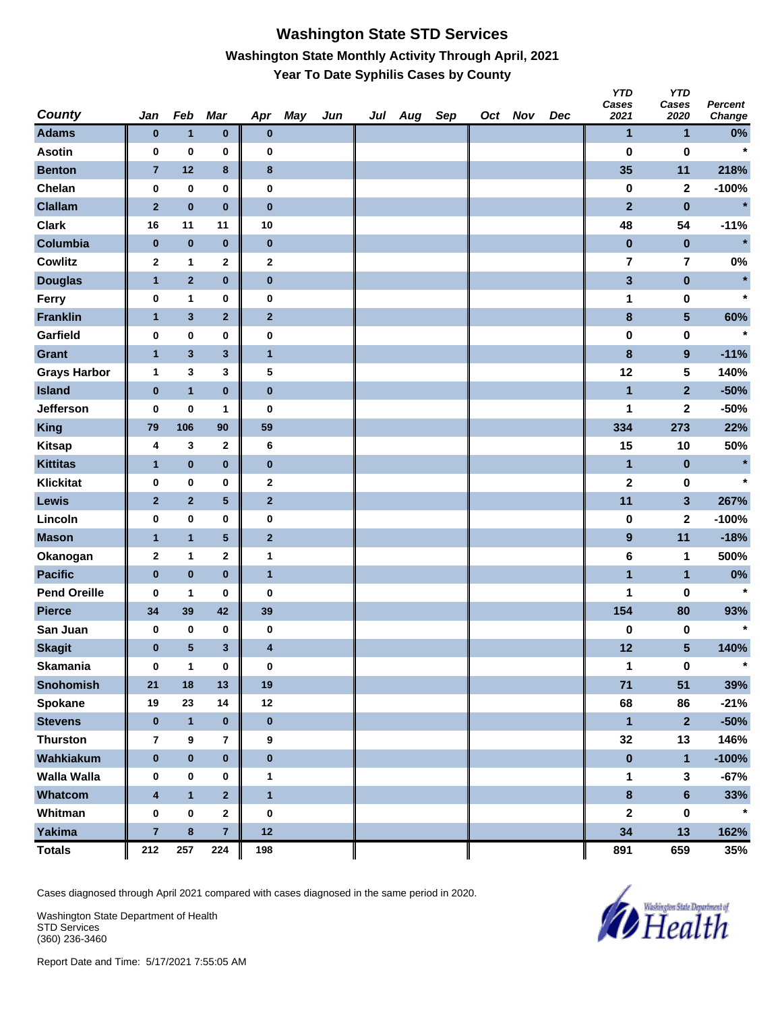#### **Washington State STD Services Washington State Monthly Activity Through April, 2021 Year To Date Syphilis Cases by County**

| <b>County</b>       | Jan                     | Feb            | Mar            | Apr                     | May | Jun | Jul | Aug | Sep | Oct Nov | Dec | <b>YTD</b><br>Cases<br>2021 | <b>YTD</b><br>Cases<br>2020 | Percent<br>Change |
|---------------------|-------------------------|----------------|----------------|-------------------------|-----|-----|-----|-----|-----|---------|-----|-----------------------------|-----------------------------|-------------------|
| <b>Adams</b>        | $\pmb{0}$               | $\mathbf{1}$   | $\pmb{0}$      | $\bf{0}$                |     |     |     |     |     |         |     | $\mathbf{1}$                | $\mathbf{1}$                | $0\%$             |
| <b>Asotin</b>       | 0                       | $\bf{0}$       | 0              | $\bf{0}$                |     |     |     |     |     |         |     | $\bf{0}$                    | $\pmb{0}$                   | $\star$           |
| <b>Benton</b>       | $\overline{7}$          | 12             | 8              | 8                       |     |     |     |     |     |         |     | 35                          | 11                          | 218%              |
| Chelan              | 0                       | $\pmb{0}$      | 0              | $\bf{0}$                |     |     |     |     |     |         |     | $\pmb{0}$                   | $\mathbf{2}$                | $-100%$           |
| <b>Clallam</b>      | $\overline{2}$          | $\bf{0}$       | $\bf{0}$       | $\bf{0}$                |     |     |     |     |     |         |     | $\overline{2}$              | $\bf{0}$                    | $\star$           |
| <b>Clark</b>        | 16                      | 11             | 11             | 10                      |     |     |     |     |     |         |     | 48                          | 54                          | $-11%$            |
| Columbia            | $\pmb{0}$               | $\pmb{0}$      | $\pmb{0}$      | $\bf{0}$                |     |     |     |     |     |         |     | $\pmb{0}$                   | $\pmb{0}$                   | $\star$           |
| <b>Cowlitz</b>      | $\mathbf 2$             | $\mathbf{1}$   | 2              | $\mathbf 2$             |     |     |     |     |     |         |     | $\overline{\mathbf{7}}$     | $\overline{\mathbf{r}}$     | 0%                |
| <b>Douglas</b>      | $\mathbf{1}$            | $\overline{2}$ | $\bf{0}$       | $\bf{0}$                |     |     |     |     |     |         |     | $\mathbf{3}$                | $\pmb{0}$                   | $\star$           |
| Ferry               | 0                       | 1              | 0              | $\bf{0}$                |     |     |     |     |     |         |     | 1                           | $\pmb{0}$                   | $\star$           |
| <b>Franklin</b>     | $\mathbf{1}$            | $\mathbf 3$    | $\mathbf{2}$   | $\bf{2}$                |     |     |     |     |     |         |     | $\bf8$                      | $5\phantom{.0}$             | 60%               |
| Garfield            | 0                       | 0              | 0              | $\bf{0}$                |     |     |     |     |     |         |     | $\pmb{0}$                   | $\pmb{0}$                   | $\star$           |
| <b>Grant</b>        | $\mathbf{1}$            | $\mathbf 3$    | 3              | $\overline{1}$          |     |     |     |     |     |         |     | $\bf8$                      | $\overline{9}$              | $-11%$            |
| <b>Grays Harbor</b> | 1                       | 3              | 3              | 5                       |     |     |     |     |     |         |     | 12                          | 5                           | 140%              |
| <b>Island</b>       | $\pmb{0}$               | $\overline{1}$ | $\bf{0}$       | $\bf{0}$                |     |     |     |     |     |         |     | $\overline{1}$              | $\overline{2}$              | $-50%$            |
| <b>Jefferson</b>    | 0                       | $\pmb{0}$      | 1              | $\bf{0}$                |     |     |     |     |     |         |     | 1                           | 2                           | $-50%$            |
| <b>King</b>         | 79                      | 106            | 90             | 59                      |     |     |     |     |     |         |     | 334                         | 273                         | 22%               |
| <b>Kitsap</b>       | 4                       | 3              | 2              | 6                       |     |     |     |     |     |         |     | 15                          | 10                          | 50%               |
| <b>Kittitas</b>     | $\mathbf{1}$            | $\pmb{0}$      | $\pmb{0}$      | $\bf{0}$                |     |     |     |     |     |         |     | $\mathbf{1}$                | $\pmb{0}$                   | $\ast$            |
| Klickitat           | 0                       | $\pmb{0}$      | 0              | $\boldsymbol{2}$        |     |     |     |     |     |         |     | $\mathbf 2$                 | $\pmb{0}$                   | $\star$           |
| Lewis               | $\mathbf{2}$            | $\overline{2}$ | 5              | $\bf{2}$                |     |     |     |     |     |         |     | 11                          | $\mathbf{3}$                | 267%              |
| Lincoln             | 0                       | $\pmb{0}$      | 0              | $\bf{0}$                |     |     |     |     |     |         |     | $\pmb{0}$                   | $\mathbf{2}$                | $-100%$           |
| <b>Mason</b>        | $\mathbf{1}$            | $\mathbf{1}$   | 5              | $\overline{2}$          |     |     |     |     |     |         |     | $\boldsymbol{9}$            | 11                          | $-18%$            |
| Okanogan            | $\mathbf 2$             | $\mathbf{1}$   | 2              | 1                       |     |     |     |     |     |         |     | 6                           | 1                           | 500%              |
| <b>Pacific</b>      | $\pmb{0}$               | $\bf{0}$       | $\bf{0}$       | $\overline{1}$          |     |     |     |     |     |         |     | $\overline{1}$              | $\mathbf{1}$                | 0%                |
| <b>Pend Oreille</b> | 0                       | $\mathbf{1}$   | 0              | $\bf{0}$                |     |     |     |     |     |         |     | 1                           | 0                           | $\star$           |
| <b>Pierce</b>       | 34                      | 39             | 42             | 39                      |     |     |     |     |     |         |     | 154                         | 80                          | 93%               |
| San Juan            | 0                       | $\bf{0}$       | 0              | $\pmb{0}$               |     |     |     |     |     |         |     | $\pmb{0}$                   | $\pmb{0}$                   | $\star$           |
| <b>Skagit</b>       | $\pmb{0}$               | 5              | 3              | $\overline{\mathbf{4}}$ |     |     |     |     |     |         |     | 12                          | $5\phantom{.0}$             | 140%              |
| <b>Skamania</b>     | 0                       | $\mathbf{1}$   | 0              | $\bf{0}$                |     |     |     |     |     |         |     | 1                           | $\bf{0}$                    | $\star$           |
| <b>Snohomish</b>    | 21                      | 18             | 13             | 19                      |     |     |     |     |     |         |     | 71                          | 51                          | 39%               |
| Spokane             | 19                      | 23             | 14             | 12                      |     |     |     |     |     |         |     | 68                          | 86                          | $-21%$            |
| <b>Stevens</b>      | $\bf{0}$                | $\mathbf{1}$   | $\pmb{0}$      | $\pmb{0}$               |     |     |     |     |     |         |     | $\mathbf{1}$                | $\overline{\mathbf{2}}$     | $-50%$            |
| <b>Thurston</b>     | 7                       | 9              | 7              | 9                       |     |     |     |     |     |         |     | 32                          | 13                          | 146%              |
| Wahkiakum           | $\pmb{0}$               | $\pmb{0}$      | $\pmb{0}$      | $\pmb{0}$               |     |     |     |     |     |         |     | $\pmb{0}$                   | $\mathbf{1}$                | $-100%$           |
| <b>Walla Walla</b>  | 0                       | $\pmb{0}$      | 0              | $\mathbf{1}$            |     |     |     |     |     |         |     | 1                           | $\mathbf{3}$                | $-67%$            |
| Whatcom             | $\overline{\mathbf{4}}$ | $\mathbf{1}$   | $\overline{2}$ | $\mathbf{1}$            |     |     |     |     |     |         |     | $\pmb{8}$                   | $6\phantom{a}$              | 33%               |
| Whitman             | 0                       | $\pmb{0}$      | $\mathbf{2}$   | $\pmb{0}$               |     |     |     |     |     |         |     | $\mathbf 2$                 | $\pmb{0}$                   | $\star$           |
| <b>Yakima</b>       | $\overline{7}$          | 8              | $\overline{7}$ | 12                      |     |     |     |     |     |         |     | 34                          | 13                          | 162%              |
| <b>Totals</b>       | 212                     | 257            | 224            | 198                     |     |     |     |     |     |         |     | 891                         | 659                         | 35%               |

Cases diagnosed through April 2021 compared with cases diagnosed in the same period in 2020.

Washington State Department of Health STD Services (360) 236-3460

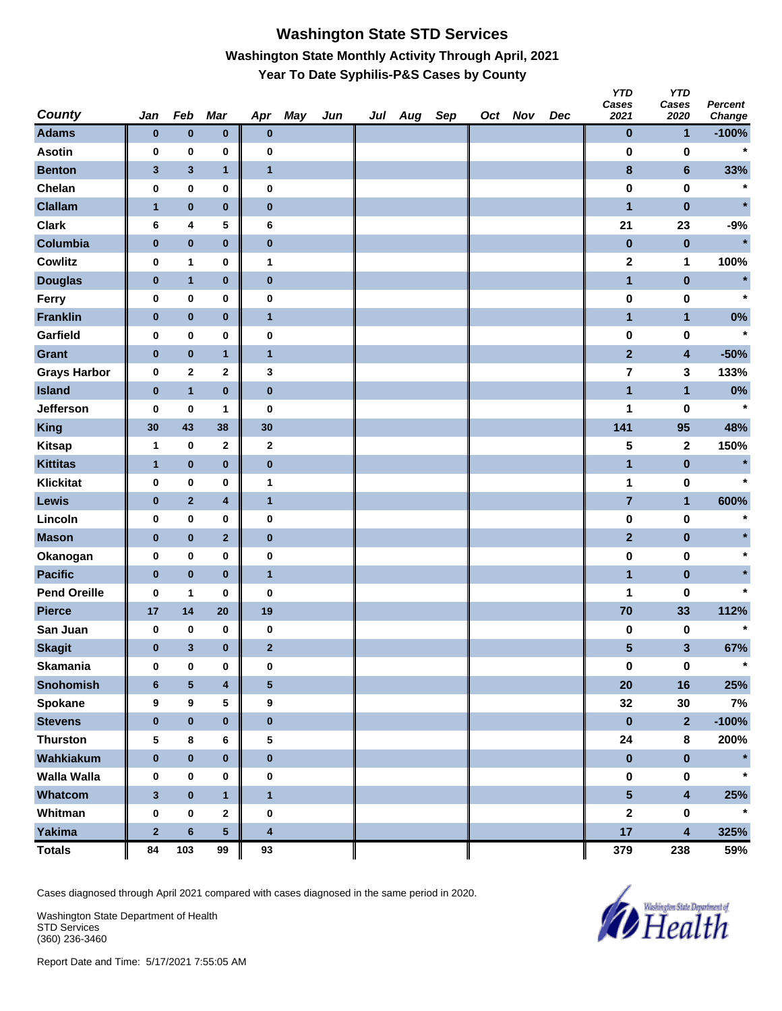# **Washington State STD Services Washington State Monthly Activity Through April, 2021 Year To Date Syphilis-P&S Cases by County**

|                     |                |              |                         |                         |     |     |     |     |     |         |     | טוץ<br>Cases            | טוץ<br>Cases            | <b>Percent</b> |
|---------------------|----------------|--------------|-------------------------|-------------------------|-----|-----|-----|-----|-----|---------|-----|-------------------------|-------------------------|----------------|
| <b>County</b>       | Jan            | Feb          | Mar                     | Apr                     | May | Jun | Jul | Aug | Sep | Oct Nov | Dec | 2021                    | 2020                    | Change         |
| <b>Adams</b>        | $\pmb{0}$      | $\bf{0}$     | $\bf{0}$                | $\bf{0}$                |     |     |     |     |     |         |     | $\bf{0}$                | $\mathbf{1}$            | $-100%$        |
| <b>Asotin</b>       | 0              | 0            | 0                       | 0                       |     |     |     |     |     |         |     | 0                       | 0                       |                |
| <b>Benton</b>       | $\mathbf{3}$   | $\mathbf 3$  | $\mathbf{1}$            | $\overline{1}$          |     |     |     |     |     |         |     | 8                       | $6\phantom{1}$          | 33%            |
| Chelan              | 0              | 0            | 0                       | 0                       |     |     |     |     |     |         |     | 0                       | $\pmb{0}$               | $\star$        |
| <b>Clallam</b>      | $\mathbf{1}$   | $\bf{0}$     | $\bf{0}$                | $\bf{0}$                |     |     |     |     |     |         |     | $\mathbf{1}$            | $\pmb{0}$               | $\star$        |
| <b>Clark</b>        | 6              | 4            | 5                       | 6                       |     |     |     |     |     |         |     | 21                      | 23                      | $-9%$          |
| Columbia            | $\pmb{0}$      | $\bf{0}$     | $\bf{0}$                | $\bf{0}$                |     |     |     |     |     |         |     | $\bf{0}$                | $\bf{0}$                | $\star$        |
| <b>Cowlitz</b>      | 0              | 1            | 0                       | $\mathbf 1$             |     |     |     |     |     |         |     | 2                       | 1                       | 100%           |
| <b>Douglas</b>      | $\pmb{0}$      | $\mathbf{1}$ | $\bf{0}$                | $\pmb{0}$               |     |     |     |     |     |         |     | $\mathbf{1}$            | $\bf{0}$                | $\star$        |
| Ferry               | 0              | $\pmb{0}$    | 0                       | $\bf{0}$                |     |     |     |     |     |         |     | $\pmb{0}$               | $\pmb{0}$               | $\star$        |
| <b>Franklin</b>     | $\bf{0}$       | $\pmb{0}$    | $\pmb{0}$               | $\mathbf{1}$            |     |     |     |     |     |         |     | $\mathbf{1}$            | $\mathbf{1}$            | $0\%$          |
| Garfield            | 0              | $\bf{0}$     | 0                       | $\bf{0}$                |     |     |     |     |     |         |     | $\bf{0}$                | 0                       |                |
| <b>Grant</b>        | $\pmb{0}$      | $\bf{0}$     | $\mathbf{1}$            | $\mathbf{1}$            |     |     |     |     |     |         |     | $\overline{2}$          | $\overline{\mathbf{4}}$ | $-50%$         |
| <b>Grays Harbor</b> | 0              | $\mathbf{2}$ | 2                       | 3                       |     |     |     |     |     |         |     | $\overline{\mathbf{r}}$ | 3                       | 133%           |
| <b>Island</b>       | $\bf{0}$       | $\mathbf{1}$ | $\bf{0}$                | $\bf{0}$                |     |     |     |     |     |         |     | $\mathbf{1}$            | $\mathbf{1}$            | $0\%$          |
| <b>Jefferson</b>    | 0              | $\bf{0}$     | 1                       | $\bf{0}$                |     |     |     |     |     |         |     | 1                       | 0                       | $\star$        |
| King                | 30             | 43           | 38                      | 30                      |     |     |     |     |     |         |     | 141                     | 95                      | 48%            |
| <b>Kitsap</b>       | 1              | 0            | 2                       | $\boldsymbol{2}$        |     |     |     |     |     |         |     | 5                       | $\mathbf 2$             | 150%           |
| <b>Kittitas</b>     | $\mathbf{1}$   | $\pmb{0}$    | $\bf{0}$                | $\pmb{0}$               |     |     |     |     |     |         |     | $\mathbf{1}$            | $\pmb{0}$               | $\star$        |
| <b>Klickitat</b>    | 0              | $\pmb{0}$    | 0                       | 1                       |     |     |     |     |     |         |     | 1                       | $\pmb{0}$               | $\star$        |
| Lewis               | $\bf{0}$       | $\mathbf 2$  | 4                       | $\mathbf{1}$            |     |     |     |     |     |         |     | $\overline{7}$          | $\mathbf{1}$            | 600%           |
| Lincoln             | 0              | 0            | 0                       | 0                       |     |     |     |     |     |         |     | $\pmb{0}$               | 0                       |                |
| <b>Mason</b>        | $\pmb{0}$      | $\bf{0}$     | $\overline{2}$          | $\pmb{0}$               |     |     |     |     |     |         |     | $\overline{2}$          | $\bf{0}$                |                |
| Okanogan            | 0              | 0            | 0                       | 0                       |     |     |     |     |     |         |     | $\pmb{0}$               | 0                       | $\star$        |
| <b>Pacific</b>      | $\bf{0}$       | $\bf{0}$     | $\bf{0}$                | $\mathbf{1}$            |     |     |     |     |     |         |     | $\mathbf{1}$            | $\pmb{0}$               |                |
| <b>Pend Oreille</b> | $\bf{0}$       | 1            | 0                       | $\bf{0}$                |     |     |     |     |     |         |     | 1                       | 0                       |                |
| <b>Pierce</b>       | 17             | 14           | 20                      | 19                      |     |     |     |     |     |         |     | 70                      | 33                      | 112%           |
| San Juan            | 0              | 0            | 0                       | 0                       |     |     |     |     |     |         |     | 0                       | 0                       | $\star$        |
| <b>Skagit</b>       | $\pmb{0}$      | $\mathbf{3}$ | $\bf{0}$                | $\overline{2}$          |     |     |     |     |     |         |     | 5                       | $\mathbf{3}$            | 67%            |
| Skamania            | 0              | 0            | 0                       | 0                       |     |     |     |     |     |         |     | $\pmb{0}$               | $\mathbf 0$             |                |
| <b>Snohomish</b>    | $6\phantom{1}$ | $\sqrt{5}$   | $\overline{\mathbf{4}}$ | ${\bf 5}$               |     |     |     |     |     |         |     | 20                      | 16                      | 25%            |
| Spokane             | 9              | 9            | 5                       | 9                       |     |     |     |     |     |         |     | 32                      | $30\,$                  | 7%             |
| <b>Stevens</b>      | $\pmb{0}$      | $\pmb{0}$    | $\pmb{0}$               | $\pmb{0}$               |     |     |     |     |     |         |     | $\pmb{0}$               | $\overline{2}$          | $-100%$        |
| <b>Thurston</b>     | 5              | 8            | 6                       | 5                       |     |     |     |     |     |         |     | ${\bf 24}$              | 8                       | 200%           |
| Wahkiakum           | $\pmb{0}$      | $\pmb{0}$    | $\pmb{0}$               | $\pmb{0}$               |     |     |     |     |     |         |     | $\pmb{0}$               | $\pmb{0}$               | $\star$        |
| <b>Walla Walla</b>  | 0              | $\pmb{0}$    | 0                       | $\pmb{0}$               |     |     |     |     |     |         |     | $\pmb{0}$               | $\pmb{0}$               | $\star$        |
| Whatcom             | $\mathbf{3}$   | $\pmb{0}$    | $\mathbf{1}$            | $\overline{\mathbf{1}}$ |     |     |     |     |     |         |     | $\overline{\mathbf{5}}$ | $\overline{\mathbf{4}}$ | 25%            |
| Whitman             | $\pmb{0}$      | $\pmb{0}$    | 2                       | $\pmb{0}$               |     |     |     |     |     |         |     | $\mathbf{2}$            | 0                       | $\star$        |
| Yakima              | $\mathbf 2$    | $\bf 6$      | 5                       | $\overline{\mathbf{4}}$ |     |     |     |     |     |         |     | 17                      | $\overline{\mathbf{4}}$ | 325%           |
| <b>Totals</b>       | 84             | 103          | 99                      | 93                      |     |     |     |     |     |         |     | 379                     | 238                     | 59%            |

Cases diagnosed through April 2021 compared with cases diagnosed in the same period in 2020.

Washington State Department of Health STD Services (360) 236-3460



*Y* 

*YTD*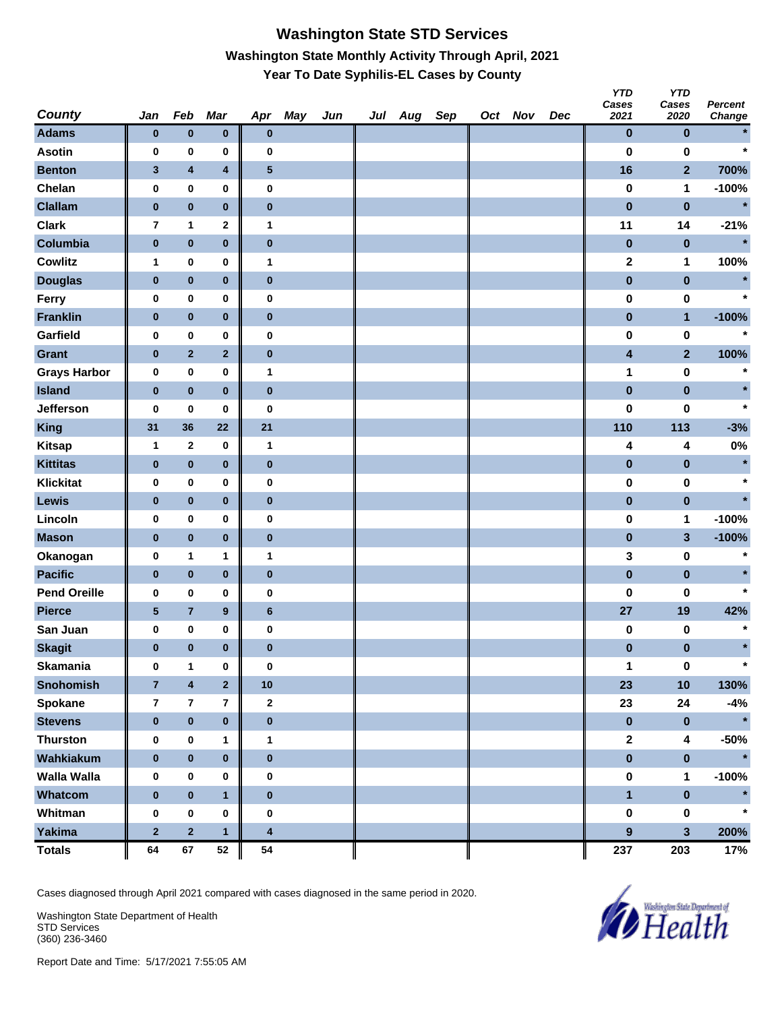### **Washington State STD Services Washington State Monthly Activity Through April, 2021 Year To Date Syphilis-EL Cases by County**

| <b>County</b>       | Jan                     | Feb                     | Mar                     | Apr                     | May | Jun | Jul Aug | Sep | Oct Nov | Dec | YID<br>Cases<br>2021    | YID<br>Cases<br>2020 | <b>Percent</b><br>Change |
|---------------------|-------------------------|-------------------------|-------------------------|-------------------------|-----|-----|---------|-----|---------|-----|-------------------------|----------------------|--------------------------|
| <b>Adams</b>        | $\bf{0}$                | $\bf{0}$                | $\bf{0}$                | $\bf{0}$                |     |     |         |     |         |     | $\bf{0}$                | $\bf{0}$             |                          |
| <b>Asotin</b>       | 0                       | $\pmb{0}$               | 0                       | 0                       |     |     |         |     |         |     | $\bf{0}$                | $\bf{0}$             | $\star$                  |
| <b>Benton</b>       | $\mathbf{3}$            | $\pmb{4}$               | 4                       | ${\bf 5}$               |     |     |         |     |         |     | 16                      | $\mathbf{2}$         | 700%                     |
| Chelan              | 0                       | $\pmb{0}$               | 0                       | $\bf{0}$                |     |     |         |     |         |     | $\pmb{0}$               | 1                    | $-100%$                  |
| <b>Clallam</b>      | $\pmb{0}$               | $\bf{0}$                | $\pmb{0}$               | $\bf{0}$                |     |     |         |     |         |     | $\pmb{0}$               | $\pmb{0}$            | $\star$                  |
| <b>Clark</b>        | $\overline{7}$          | $\mathbf{1}$            | 2                       | 1                       |     |     |         |     |         |     | 11                      | 14                   | $-21%$                   |
| Columbia            | $\pmb{0}$               | $\bf{0}$                | $\bf{0}$                | $\bf{0}$                |     |     |         |     |         |     | $\pmb{0}$               | $\bf{0}$             | $\star$                  |
| <b>Cowlitz</b>      | 1                       | 0                       | 0                       | $\mathbf{1}$            |     |     |         |     |         |     | $\mathbf 2$             | 1                    | 100%                     |
| <b>Douglas</b>      | $\bf{0}$                | $\bf{0}$                | $\pmb{0}$               | $\bf{0}$                |     |     |         |     |         |     | $\pmb{0}$               | $\pmb{0}$            | $\star$                  |
| Ferry               | 0                       | $\bf{0}$                | 0                       | $\pmb{0}$               |     |     |         |     |         |     | $\pmb{0}$               | $\pmb{0}$            | $\star$                  |
| <b>Franklin</b>     | $\bf{0}$                | $\bf{0}$                | $\pmb{0}$               | $\bf{0}$                |     |     |         |     |         |     | $\bf{0}$                | $\mathbf{1}$         | $-100%$                  |
| Garfield            | 0                       | $\pmb{0}$               | 0                       | $\bf{0}$                |     |     |         |     |         |     | $\bf{0}$                | $\bf{0}$             |                          |
| <b>Grant</b>        | $\pmb{0}$               | $\mathbf{2}$            | $\mathbf{2}$            | $\bf{0}$                |     |     |         |     |         |     | $\overline{\mathbf{4}}$ | $\mathbf{2}$         | 100%                     |
| <b>Grays Harbor</b> | 0                       | $\pmb{0}$               | 0                       | 1                       |     |     |         |     |         |     | 1                       | $\pmb{0}$            | $\star$                  |
| <b>Island</b>       | $\bf{0}$                | $\pmb{0}$               | $\pmb{0}$               | $\bf{0}$                |     |     |         |     |         |     | $\pmb{0}$               | $\pmb{0}$            |                          |
| Jefferson           | 0                       | $\bf{0}$                | 0                       | $\bf{0}$                |     |     |         |     |         |     | $\bf{0}$                | $\bf{0}$             | $\star$                  |
| King                | 31                      | 36                      | 22                      | 21                      |     |     |         |     |         |     | 110                     | 113                  | $-3%$                    |
| <b>Kitsap</b>       | 1                       | $\mathbf{2}$            | 0                       | $\mathbf{1}$            |     |     |         |     |         |     | 4                       | 4                    | 0%                       |
| <b>Kittitas</b>     | $\bf{0}$                | $\bf{0}$                | $\pmb{0}$               | $\bf{0}$                |     |     |         |     |         |     | $\pmb{0}$               | $\pmb{0}$            | $\star$                  |
| <b>Klickitat</b>    | 0                       | $\mathbf 0$             | $\bf{0}$                | $\pmb{0}$               |     |     |         |     |         |     | $\pmb{0}$               | $\pmb{0}$            | $\star$                  |
| Lewis               | $\bf{0}$                | $\pmb{0}$               | $\pmb{0}$               | $\bf{0}$                |     |     |         |     |         |     | $\bf{0}$                | $\pmb{0}$            |                          |
| Lincoln             | 0                       | $\pmb{0}$               | 0                       | $\bf{0}$                |     |     |         |     |         |     | $\bf{0}$                | 1                    | $-100%$                  |
| <b>Mason</b>        | $\pmb{0}$               | $\bf{0}$                | $\pmb{0}$               | $\bf{0}$                |     |     |         |     |         |     | $\pmb{0}$               | $\mathbf{3}$         | $-100%$                  |
| Okanogan            | 0                       | 1                       | 1                       | 1                       |     |     |         |     |         |     | 3                       | $\pmb{0}$            | $\star$                  |
| <b>Pacific</b>      | $\bf{0}$                | $\pmb{0}$               | $\pmb{0}$               | $\bf{0}$                |     |     |         |     |         |     | $\pmb{0}$               | $\pmb{0}$            |                          |
| <b>Pend Oreille</b> | 0                       | $\pmb{0}$               | 0                       | $\bf{0}$                |     |     |         |     |         |     | $\bf{0}$                | 0                    | $\star$                  |
| <b>Pierce</b>       | $5\phantom{.0}$         | $\bf 7$                 | 9                       | $6\phantom{1}6$         |     |     |         |     |         |     | 27                      | 19                   | 42%                      |
| San Juan            | 0                       | $\pmb{0}$               | 0                       | $\bf{0}$                |     |     |         |     |         |     | 0                       | 0                    | $\star$                  |
| <b>Skagit</b>       | $\bf{0}$                | $\bf{0}$                | 0                       | $\bf{0}$                |     |     |         |     |         |     | $\pmb{0}$               | $\pmb{0}$            | $\star$                  |
| <b>Skamania</b>     | 0                       | 1                       | 0                       | 0                       |     |     |         |     |         |     | 1                       | $\pmb{0}$            |                          |
| <b>Snohomish</b>    | $\overline{7}$          | $\boldsymbol{4}$        | $\overline{\mathbf{2}}$ | $10$                    |     |     |         |     |         |     | 23                      | 10                   | 130%                     |
| Spokane             | $\overline{\mathbf{r}}$ | $\bf 7$                 | $\overline{\mathbf{r}}$ | $\mathbf 2$             |     |     |         |     |         |     | 23                      | 24                   | $-4%$                    |
| <b>Stevens</b>      | $\pmb{0}$               | $\pmb{0}$               | $\pmb{0}$               | $\pmb{0}$               |     |     |         |     |         |     | $\pmb{0}$               | $\pmb{0}$            | $\star$                  |
| <b>Thurston</b>     | $\pmb{0}$               | $\pmb{0}$               | 1                       | $\mathbf{1}$            |     |     |         |     |         |     | $\mathbf{2}$            | $\boldsymbol{4}$     | $-50%$                   |
| Wahkiakum           | $\pmb{0}$               | $\pmb{0}$               | $\pmb{0}$               | $\pmb{0}$               |     |     |         |     |         |     | $\pmb{0}$               | $\pmb{0}$            | $\star$                  |
| <b>Walla Walla</b>  | 0                       | $\pmb{0}$               | 0                       | 0                       |     |     |         |     |         |     | $\pmb{0}$               | 1                    | $-100%$                  |
| Whatcom             | $\pmb{0}$               | $\pmb{0}$               | $\mathbf{1}$            | $\pmb{0}$               |     |     |         |     |         |     | $\mathbf{1}$            | $\pmb{0}$            | $\star$                  |
| Whitman             | 0                       | $\pmb{0}$               | $\pmb{0}$               | $\pmb{0}$               |     |     |         |     |         |     | $\pmb{0}$               | $\pmb{0}$            | $\star$                  |
| Yakima              | $\mathbf{2}$            | $\overline{\mathbf{2}}$ | $\mathbf{1}$            | $\overline{\mathbf{4}}$ |     |     |         |     |         |     | $\overline{9}$          | 3                    | 200%                     |
| <b>Totals</b>       | 64                      | 67                      | 52                      | 54                      |     |     |         |     |         |     | 237                     | 203                  | 17%                      |

Cases diagnosed through April 2021 compared with cases diagnosed in the same period in 2020.

Washington State Department of Health STD Services (360) 236-3460



*Y* 

*YTD*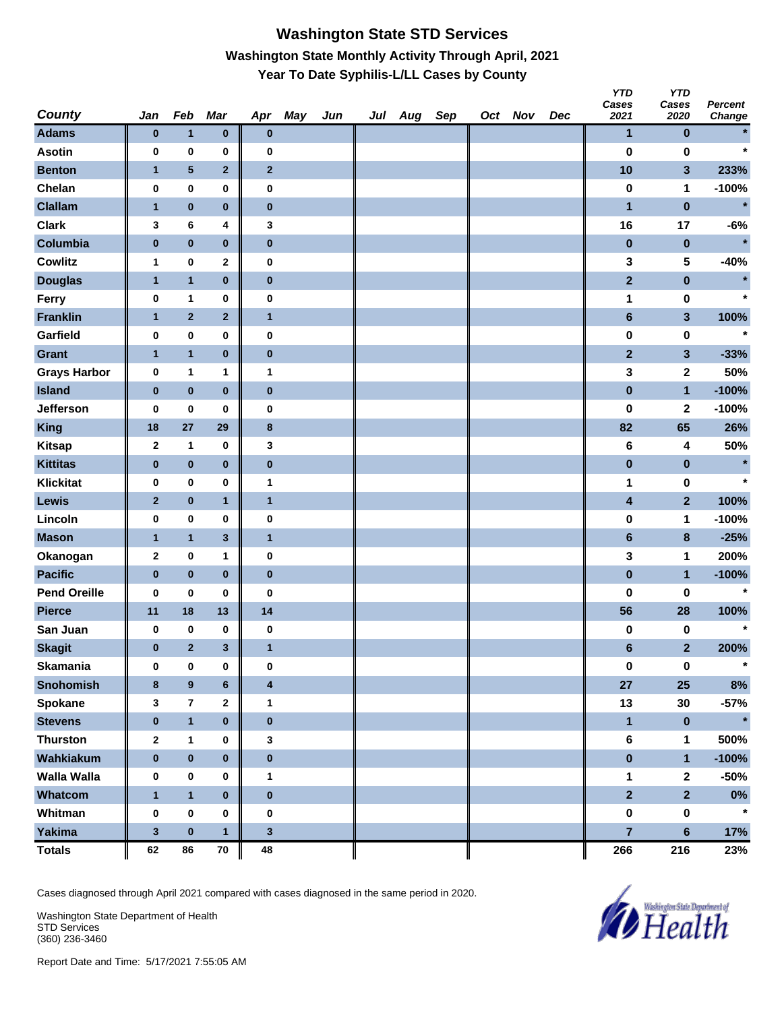### **Washington State STD Services Washington State Monthly Activity Through April, 2021 Year To Date Syphilis-L/LL Cases by County**

| <b>County</b>       | Jan              | Feb                     | Mar          | Apr              | May | Jun | Jul Aug | Sep | Oct Nov | Dec | טוץ<br>Cases<br>2021 | YID<br>Cases<br>2020    | <b>Percent</b><br>Change |
|---------------------|------------------|-------------------------|--------------|------------------|-----|-----|---------|-----|---------|-----|----------------------|-------------------------|--------------------------|
| <b>Adams</b>        | $\bf{0}$         | $\mathbf{1}$            | $\bf{0}$     | $\pmb{0}$        |     |     |         |     |         |     | $\mathbf{1}$         | $\bf{0}$                |                          |
| <b>Asotin</b>       | 0                | 0                       | 0            | 0                |     |     |         |     |         |     | $\bf{0}$             | $\bf{0}$                | $\star$                  |
| <b>Benton</b>       | $\mathbf{1}$     | ${\bf 5}$               | $\mathbf{2}$ | $\bf{2}$         |     |     |         |     |         |     | 10                   | $\mathbf{3}$            | 233%                     |
| Chelan              | 0                | 0                       | 0            | $\bf{0}$         |     |     |         |     |         |     | $\pmb{0}$            | 1                       | $-100%$                  |
| <b>Clallam</b>      | $\mathbf{1}$     | $\pmb{0}$               | $\pmb{0}$    | $\bf{0}$         |     |     |         |     |         |     | $\mathbf{1}$         | $\pmb{0}$               | $\star$                  |
| <b>Clark</b>        | 3                | 6                       | 4            | 3                |     |     |         |     |         |     | 16                   | 17                      | $-6%$                    |
| Columbia            | $\pmb{0}$        | $\pmb{0}$               | $\bf{0}$     | $\pmb{0}$        |     |     |         |     |         |     | $\pmb{0}$            | $\pmb{0}$               | $\star$                  |
| <b>Cowlitz</b>      | $\mathbf{1}$     | 0                       | $\mathbf 2$  | $\bf{0}$         |     |     |         |     |         |     | 3                    | 5                       | $-40%$                   |
| <b>Douglas</b>      | $\mathbf{1}$     | $\mathbf{1}$            | $\pmb{0}$    | $\bf{0}$         |     |     |         |     |         |     | $\mathbf{2}$         | $\pmb{0}$               | $\star$                  |
| Ferry               | 0                | 1                       | 0            | $\pmb{0}$        |     |     |         |     |         |     | 1                    | 0                       | $\star$                  |
| <b>Franklin</b>     | $\mathbf{1}$     | $\mathbf 2$             | $\mathbf{2}$ | $\mathbf{1}$     |     |     |         |     |         |     | $\bf 6$              | $\mathbf{3}$            | 100%                     |
| Garfield            | 0                | 0                       | 0            | $\bf{0}$         |     |     |         |     |         |     | $\bf{0}$             | $\bf{0}$                | $\ast$                   |
| <b>Grant</b>        | $\mathbf{1}$     | $\mathbf{1}$            | $\pmb{0}$    | $\pmb{0}$        |     |     |         |     |         |     | $\mathbf{2}$         | $\mathbf{3}$            | $-33%$                   |
| <b>Grays Harbor</b> | 0                | 1                       | 1            | 1                |     |     |         |     |         |     | 3                    | $\mathbf 2$             | 50%                      |
| <b>Island</b>       | $\bf{0}$         | $\pmb{0}$               | $\pmb{0}$    | $\pmb{0}$        |     |     |         |     |         |     | $\pmb{0}$            | $\mathbf{1}$            | $-100%$                  |
| Jefferson           | 0                | $\pmb{0}$               | 0            | $\bf{0}$         |     |     |         |     |         |     | $\bf{0}$             | $\mathbf 2$             | $-100%$                  |
| King                | 18               | 27                      | 29           | $\bf8$           |     |     |         |     |         |     | 82                   | 65                      | 26%                      |
| <b>Kitsap</b>       | $\mathbf{2}$     | 1                       | 0            | 3                |     |     |         |     |         |     | 6                    | 4                       | 50%                      |
| <b>Kittitas</b>     | $\pmb{0}$        | $\pmb{0}$               | $\pmb{0}$    | $\pmb{0}$        |     |     |         |     |         |     | $\pmb{0}$            | $\pmb{0}$               | $\star$                  |
| <b>Klickitat</b>    | 0                | $\pmb{0}$               | 0            | $\mathbf{1}$     |     |     |         |     |         |     | 1                    | $\pmb{0}$               | $\star$                  |
| Lewis               | $\mathbf{2}$     | $\pmb{0}$               | $\mathbf{1}$ | $\mathbf{1}$     |     |     |         |     |         |     | 4                    | $\overline{2}$          | 100%                     |
| Lincoln             | 0                | 0                       | 0            | $\bf{0}$         |     |     |         |     |         |     | $\bf{0}$             | 1                       | $-100%$                  |
| <b>Mason</b>        | $\mathbf{1}$     | $\mathbf{1}$            | $\mathbf{3}$ | $\mathbf{1}$     |     |     |         |     |         |     | $\bf 6$              | $\pmb{8}$               | $-25%$                   |
| Okanogan            | $\boldsymbol{2}$ | $\bf{0}$                | 1            | $\bf{0}$         |     |     |         |     |         |     | 3                    | 1                       | 200%                     |
| <b>Pacific</b>      | $\bf{0}$         | $\pmb{0}$               | $\bf{0}$     | $\bf{0}$         |     |     |         |     |         |     | $\pmb{0}$            | $\mathbf{1}$            | $-100%$                  |
| <b>Pend Oreille</b> | 0                | 0                       | 0            | $\bf{0}$         |     |     |         |     |         |     | $\bf{0}$             | $\pmb{0}$               | $\star$                  |
| <b>Pierce</b>       | 11               | 18                      | 13           | 14               |     |     |         |     |         |     | 56                   | 28                      | 100%                     |
| San Juan            | 0                | 0                       | 0            | $\bf{0}$         |     |     |         |     |         |     | 0                    | 0                       | $\star$                  |
| <b>Skagit</b>       | $\bf{0}$         | $\mathbf{2}$            | $\mathbf{3}$ | 1                |     |     |         |     |         |     | $6\phantom{1}$       | $\overline{\mathbf{2}}$ | 200%                     |
| Skamania            | $\mathbf 0$      | 0                       | 0            | 0                |     |     |         |     |         |     | $\pmb{0}$            | $\pmb{0}$               |                          |
| <b>Snohomish</b>    | $\bf{8}$         | $\boldsymbol{9}$        | $\bf 6$      | $\boldsymbol{4}$ |     |     |         |     |         |     | 27                   | 25                      | 8%                       |
| Spokane             | 3                | $\overline{\mathbf{r}}$ | 2            | $\mathbf{1}$     |     |     |         |     |         |     | 13                   | 30                      | $-57%$                   |
| <b>Stevens</b>      | $\bf{0}$         | $\mathbf{1}$            | $\pmb{0}$    | $\pmb{0}$        |     |     |         |     |         |     | $\mathbf{1}$         | $\pmb{0}$               | $\star$                  |
| <b>Thurston</b>     | $\mathbf{2}$     | $\mathbf{1}$            | 0            | $\mathbf 3$      |     |     |         |     |         |     | $\bf 6$              | $\mathbf 1$             | 500%                     |
| Wahkiakum           | $\pmb{0}$        | $\pmb{0}$               | $\pmb{0}$    | $\pmb{0}$        |     |     |         |     |         |     | $\pmb{0}$            | $\mathbf{1}$            | $-100%$                  |
| <b>Walla Walla</b>  | $\pmb{0}$        | $\pmb{0}$               | 0            | $\mathbf{1}$     |     |     |         |     |         |     | 1                    | $\mathbf{2}$            | $-50%$                   |
| Whatcom             | $\mathbf{1}$     | $\mathbf{1}$            | $\pmb{0}$    | $\pmb{0}$        |     |     |         |     |         |     | $\overline{2}$       | $\overline{2}$          | $0\%$                    |
| Whitman             | $\pmb{0}$        | $\pmb{0}$               | 0            | $\pmb{0}$        |     |     |         |     |         |     | $\pmb{0}$            | $\pmb{0}$               | $\star$                  |
| Yakima              | $\mathbf 3$      | $\pmb{0}$               | $\mathbf{1}$ | $\mathbf{3}$     |     |     |         |     |         |     | $\overline{7}$       | $6\phantom{a}$          | 17%                      |
| <b>Totals</b>       | 62               | 86                      | ${\bf 70}$   | 48               |     |     |         |     |         |     | 266                  | 216                     | 23%                      |

Cases diagnosed through April 2021 compared with cases diagnosed in the same period in 2020.

Washington State Department of Health STD Services (360) 236-3460



*Y* 

*YTD*